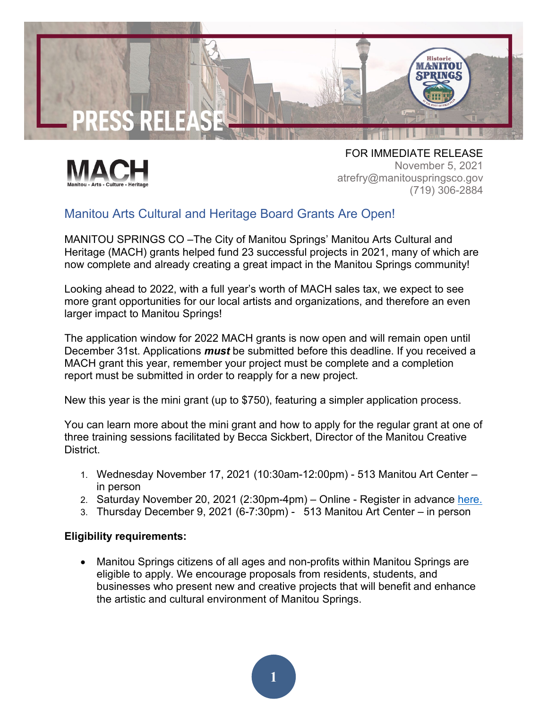



FOR IMMEDIATE RELEASE November 5, 2021 atrefry@manitouspringsco.gov (719) 306-2884

## Manitou Arts Cultural and Heritage Board Grants Are Open!

MANITOU SPRINGS CO –The City of Manitou Springs' Manitou Arts Cultural and Heritage (MACH) grants helped fund 23 successful projects in 2021, many of which are now complete and already creating a great impact in the Manitou Springs community!

Looking ahead to 2022, with a full year's worth of MACH sales tax, we expect to see more grant opportunities for our local artists and organizations, and therefore an even larger impact to Manitou Springs!

The application window for 2022 MACH grants is now open and will remain open until December 31st. Applications *must* be submitted before this deadline. If you received a MACH grant this year, remember your project must be complete and a completion report must be submitted in order to reapply for a new project.

New this year is the mini grant (up to \$750), featuring a simpler application process.

You can learn more about the mini grant and how to apply for the regular grant at one of three training sessions facilitated by Becca Sickbert, Director of the Manitou Creative District.

- 1. Wednesday November 17, 2021 (10:30am-12:00pm) 513 Manitou Art Center in person
- 2. Saturday November 20, 2021 (2:30pm-4pm) Online Register in advance [here.](https://us02web.zoom.us/meeting/register/tZAvfuyrpzIpEtAtU4ZOKaCKy5gqwu6oypkt)
- 3. Thursday December 9, 2021 (6-7:30pm) 513 Manitou Art Center in person

## **Eligibility requirements:**

• Manitou Springs citizens of all ages and non-profits within Manitou Springs are eligible to apply. We encourage proposals from residents, students, and businesses who present new and creative projects that will benefit and enhance the artistic and cultural environment of Manitou Springs.